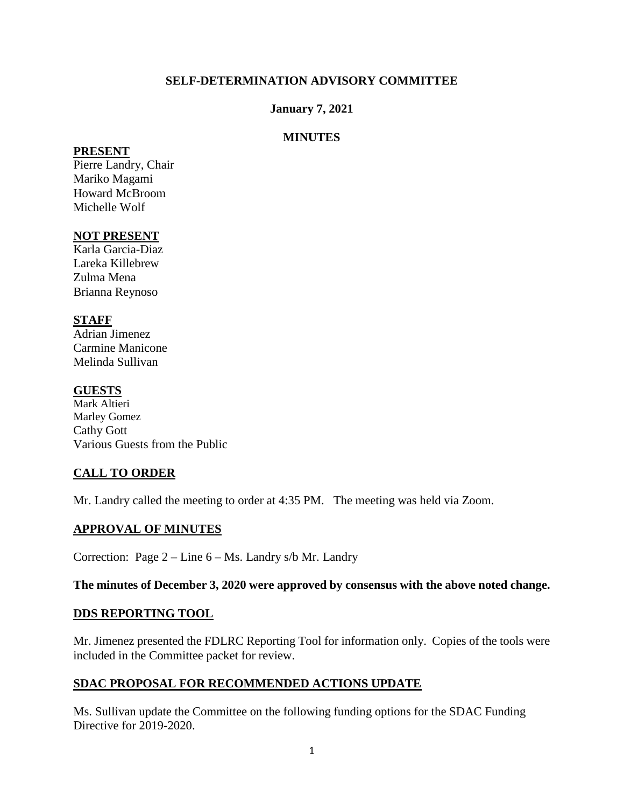## **SELF-DETERMINATION ADVISORY COMMITTEE**

#### **January 7, 2021**

#### **MINUTES**

#### **PRESENT**

Pierre Landry, Chair Mariko Magami Howard McBroom Michelle Wolf

## **NOT PRESENT**

Karla Garcia-Diaz Lareka Killebrew Zulma Mena Brianna Reynoso

## **STAFF**

Adrian Jimenez Carmine Manicone Melinda Sullivan

#### **GUESTS**

Mark Altieri Marley Gomez Cathy Gott Various Guests from the Public

## **CALL TO ORDER**

Mr. Landry called the meeting to order at 4:35 PM. The meeting was held via Zoom.

## **APPROVAL OF MINUTES**

Correction: Page 2 – Line 6 – Ms. Landry s/b Mr. Landry

**The minutes of December 3, 2020 were approved by consensus with the above noted change.** 

#### **DDS REPORTING TOOL**

Mr. Jimenez presented the FDLRC Reporting Tool for information only. Copies of the tools were included in the Committee packet for review.

## **SDAC PROPOSAL FOR RECOMMENDED ACTIONS UPDATE**

Ms. Sullivan update the Committee on the following funding options for the SDAC Funding Directive for 2019-2020.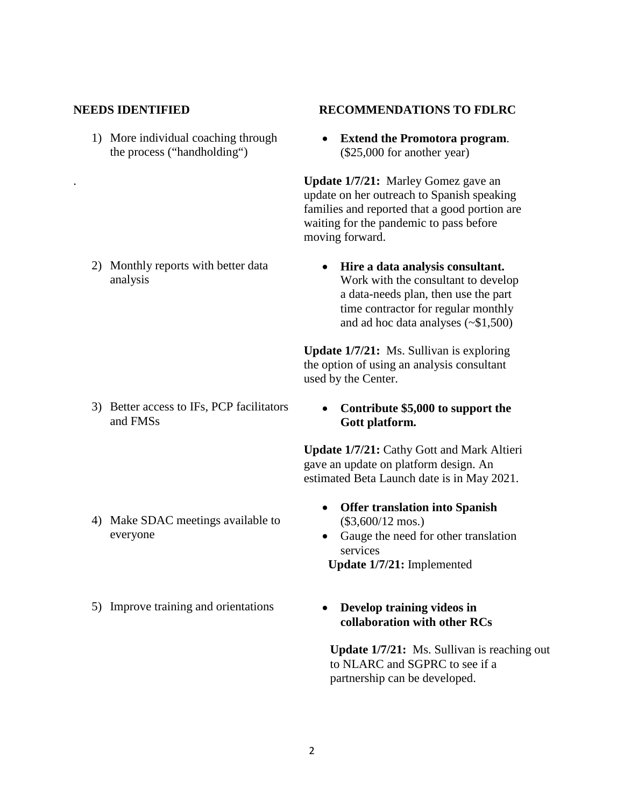#### **NEEDS IDENTIFIED RECOMMENDATIONS TO FDLRC**

analysis

1) More individual coaching through the process ("handholding")

2) Monthly reports with better data

# • **Extend the Promotora program**.

(\$25,000 for another year)

. **Update 1/7/21:** Marley Gomez gave an update on her outreach to Spanish speaking families and reported that a good portion are waiting for the pandemic to pass before moving forward.

• **Hire a data analysis consultant.**  Work with the consultant to develop a data-needs plan, then use the part time contractor for regular monthly and ad hoc data analyses (~\$1,500)

**Update 1/7/21:** Ms. Sullivan is exploring the option of using an analysis consultant used by the Center.

- 3) Better access to IFs, PCP facilitators and FMSs
- 4) Make SDAC meetings available to everyone
- 5) Improve training and orientations **Develop training videos in**

#### • **Contribute \$5,000 to support the Gott platform.**

**Update 1/7/21:** Cathy Gott and Mark Altieri gave an update on platform design. An estimated Beta Launch date is in May 2021.

- **Offer translation into Spanish**  (\$3,600/12 mos.)
- Gauge the need for other translation services

 **Update 1/7/21:** Implemented

**collaboration with other RCs**

**Update 1/7/21:** Ms. Sullivan is reaching out to NLARC and SGPRC to see if a partnership can be developed.